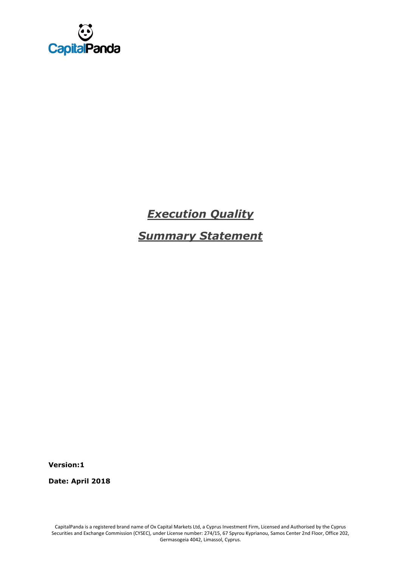

# *Execution Quality*

*Summary Statement*

**Version:1**

**Date: April 2018**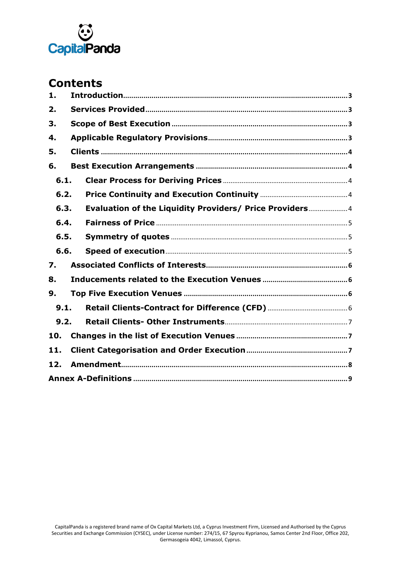

# **Contents**

| 1.   |  |                                                          |  |  |  |  |  |
|------|--|----------------------------------------------------------|--|--|--|--|--|
| 2.   |  |                                                          |  |  |  |  |  |
| 3.   |  |                                                          |  |  |  |  |  |
| 4.   |  |                                                          |  |  |  |  |  |
| 5.   |  |                                                          |  |  |  |  |  |
| 6.   |  |                                                          |  |  |  |  |  |
| 6.1. |  |                                                          |  |  |  |  |  |
| 6.2. |  |                                                          |  |  |  |  |  |
| 6.3. |  | Evaluation of the Liquidity Providers/ Price Providers 4 |  |  |  |  |  |
| 6.4. |  |                                                          |  |  |  |  |  |
| 6.5. |  |                                                          |  |  |  |  |  |
| 6.6. |  |                                                          |  |  |  |  |  |
| 7.   |  |                                                          |  |  |  |  |  |
| 8.   |  |                                                          |  |  |  |  |  |
| 9.   |  |                                                          |  |  |  |  |  |
| 9.1. |  |                                                          |  |  |  |  |  |
| 9.2. |  |                                                          |  |  |  |  |  |
| 10.  |  |                                                          |  |  |  |  |  |
| 11.  |  |                                                          |  |  |  |  |  |
| 12.  |  |                                                          |  |  |  |  |  |
|      |  |                                                          |  |  |  |  |  |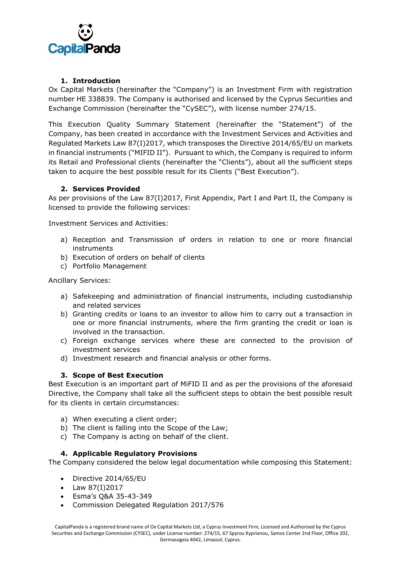

# **1. Introduction**

<span id="page-2-0"></span>Ox Capital Markets (hereinafter the "Company") is an Investment Firm with registration number HE 338839. The Company is authorised and licensed by the Cyprus Securities and Exchange Commission (hereinafter the "CySEC"), with license number 274/15.

This Execution Quality Summary Statement (hereinafter the "Statement") of the Company, has been created in accordance with the Investment Services and Activities and Regulated Markets Law 87(I)2017, which transposes the Directive 2014/65/EU on markets in financial instruments ("MIFID II"). Pursuant to which, the Company is required to inform its Retail and Professional clients (hereinafter the "Clients"), about all the sufficient steps taken to acquire the best possible result for its Clients ("Best Execution").

# **2. Services Provided**

<span id="page-2-1"></span>As per provisions of the Law 87(I)2017, First Appendix, Part I and Part II, the Company is licensed to provide the following services:

Investment Services and Activities:

- a) Reception and Transmission of orders in relation to one or more financial instruments
- b) Execution of orders on behalf of clients
- c) Portfolio Management

Ancillary Services:

- a) Safekeeping and administration of financial instruments, including custodianship and related services
- b) Granting credits or loans to an investor to allow him to carry out a transaction in one or more financial instruments, where the firm granting the credit or loan is involved in the transaction.
- c) Foreign exchange services where these are connected to the provision of investment services
- d) Investment research and financial analysis or other forms.

# **3. Scope of Best Execution**

<span id="page-2-2"></span>Best Execution is an important part of MiFID II and as per the provisions of the aforesaid Directive, the Company shall take all the sufficient steps to obtain the best possible result for its clients in certain circumstances:

- a) When executing a client order;
- b) The client is falling into the Scope of the Law;
- c) The Company is acting on behalf of the client.

# **4. Applicable Regulatory Provisions**

<span id="page-2-3"></span>The Company considered the below legal documentation while composing this Statement:

- Directive 2014/65/EU
- Law 87(I)2017
- Esma's Q&A 35-43-349
- Commission Delegated Regulation 2017/576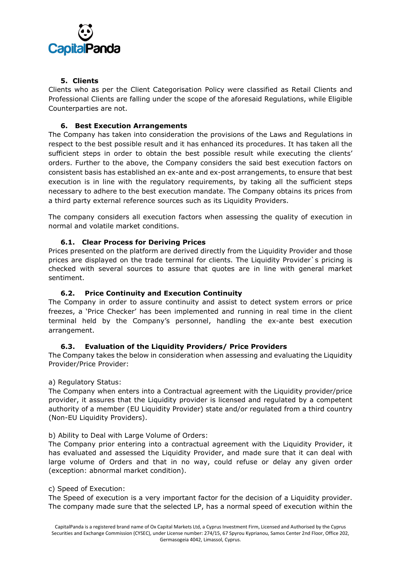

# **5. Clients**

<span id="page-3-0"></span>Clients who as per the Client Categorisation Policy were classified as Retail Clients and Professional Clients are falling under the scope of the aforesaid Regulations, while Eligible Counterparties are not.

# <span id="page-3-1"></span>**6. Best Execution Arrangements**

The Company has taken into consideration the provisions of the Laws and Regulations in respect to the best possible result and it has enhanced its procedures. It has taken all the sufficient steps in order to obtain the best possible result while executing the clients' orders. Further to the above, the Company considers the said best execution factors on consistent basis has established an ex-ante and ex-post arrangements, to ensure that best execution is in line with the regulatory requirements, by taking all the sufficient steps necessary to adhere to the best execution mandate. The Company obtains its prices from a third party external reference sources such as its Liquidity Providers.

The company considers all execution factors when assessing the quality of execution in normal and volatile market conditions.

# **6.1. Clear Process for Deriving Prices**

<span id="page-3-2"></span>Prices presented on the platform are derived directly from the Liquidity Provider and those prices are displayed on the trade terminal for clients. The Liquidity Provider`s pricing is checked with several sources to assure that quotes are in line with general market sentiment.

# **6.2. Price Continuity and Execution Continuity**

<span id="page-3-3"></span>The Company in order to assure continuity and assist to detect system errors or price freezes, a 'Price Checker' has been implemented and running in real time in the client terminal held by the Company's personnel, handling the ex-ante best execution arrangement.

# **6.3. Evaluation of the Liquidity Providers/ Price Providers**

<span id="page-3-4"></span>The Company takes the below in consideration when assessing and evaluating the Liquidity Provider/Price Provider:

# a) Regulatory Status:

The Company when enters into a Contractual agreement with the Liquidity provider/price provider, it assures that the Liquidity provider is licensed and regulated by a competent authority of a member (EU Liquidity Provider) state and/or regulated from a third country (Non-EU Liquidity Providers).

# b) Ability to Deal with Large Volume of Orders:

The Company prior entering into a contractual agreement with the Liquidity Provider, it has evaluated and assessed the Liquidity Provider, and made sure that it can deal with large volume of Orders and that in no way, could refuse or delay any given order (exception: abnormal market condition).

#### c) Speed of Execution:

The Speed of execution is a very important factor for the decision of a Liquidity provider. The company made sure that the selected LP, has a normal speed of execution within the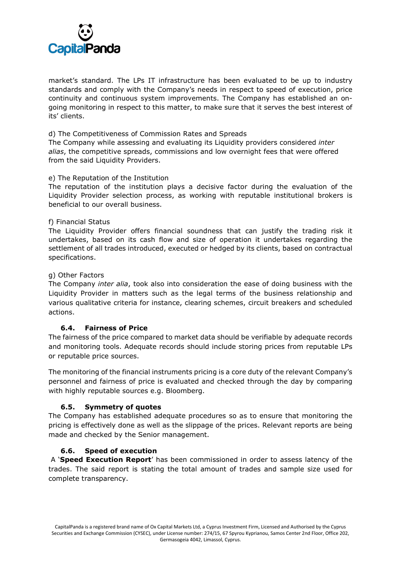

market's standard. The LPs IT infrastructure has been evaluated to be up to industry standards and comply with the Company's needs in respect to speed of execution, price continuity and continuous system improvements. The Company has established an ongoing monitoring in respect to this matter, to make sure that it serves the best interest of its' clients.

d) The Competitiveness of Commission Rates and Spreads

The Company while assessing and evaluating its Liquidity providers considered *inter alias*, the competitive spreads, commissions and low overnight fees that were offered from the said Liquidity Providers.

#### e) The Reputation of the Institution

The reputation of the institution plays a decisive factor during the evaluation of the Liquidity Provider selection process, as working with reputable institutional brokers is beneficial to our overall business.

#### f) Financial Status

The Liquidity Provider offers financial soundness that can justify the trading risk it undertakes, based on its cash flow and size of operation it undertakes regarding the settlement of all trades introduced, executed or hedged by its clients, based on contractual specifications.

#### g) Other Factors

The Company *inter alia*, took also into consideration the ease of doing business with the Liquidity Provider in matters such as the legal terms of the business relationship and various qualitative criteria for instance, clearing schemes, circuit breakers and scheduled actions.

# **6.4. Fairness of Price**

<span id="page-4-0"></span>The fairness of the price compared to market data should be verifiable by adequate records and monitoring tools. Adequate records should include storing prices from reputable LPs or reputable price sources.

The monitoring of the financial instruments pricing is a core duty of the relevant Company's personnel and fairness of price is evaluated and checked through the day by comparing with highly reputable sources e.g. Bloomberg.

# **6.5. Symmetry of quotes**

<span id="page-4-1"></span>The Company has established adequate procedures so as to ensure that monitoring the pricing is effectively done as well as the slippage of the prices. Relevant reports are being made and checked by the Senior management.

# **6.6. Speed of execution**

<span id="page-4-2"></span>A '**Speed Execution Report**' has been commissioned in order to assess latency of the trades. The said report is stating the total amount of trades and sample size used for complete transparency.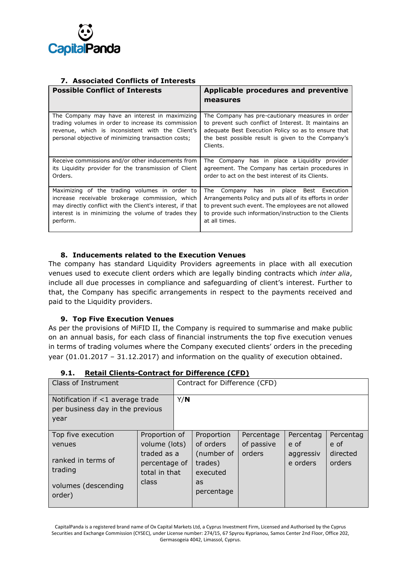

# **7. Associated Conflicts of Interests**

<span id="page-5-0"></span>

| <b>Possible Conflict of Interests</b>                                                                                                                                                                                            | Applicable procedures and preventive<br>measures                                                                                                                                                                                                   |
|----------------------------------------------------------------------------------------------------------------------------------------------------------------------------------------------------------------------------------|----------------------------------------------------------------------------------------------------------------------------------------------------------------------------------------------------------------------------------------------------|
| The Company may have an interest in maximizing<br>trading volumes in order to increase its commission<br>revenue, which is inconsistent with the Client's<br>personal objective of minimizing transaction costs;                 | The Company has pre-cautionary measures in order<br>to prevent such conflict of Interest. It maintains an<br>adequate Best Execution Policy so as to ensure that<br>the best possible result is given to the Company's<br>Clients.                 |
| Receive commissions and/or other inducements from<br>its Liquidity provider for the transmission of Client<br>Orders.                                                                                                            | The Company has in place a Liquidity provider<br>agreement. The Company has certain procedures in<br>order to act on the best interest of its Clients.                                                                                             |
| Maximizing of the trading volumes in order to<br>increase receivable brokerage commission, which<br>may directly conflict with the Client's interest, if that<br>interest is in minimizing the volume of trades they<br>perform. | has in place<br>Best<br>Execution<br>The<br>Company<br>Arrangements Policy and puts all of its efforts in order<br>to prevent such event. The employees are not allowed<br>to provide such information/instruction to the Clients<br>at all times. |

# **8. Inducements related to the Execution Venues**

<span id="page-5-1"></span>The company has standard Liquidity Providers agreements in place with all execution venues used to execute client orders which are legally binding contracts which *inter alia*, include all due processes in compliance and safeguarding of client's interest. Further to that, the Company has specific arrangements in respect to the payments received and paid to the Liquidity providers.

# **9. Top Five Execution Venues**

<span id="page-5-2"></span>As per the provisions of MiFID II, the Company is required to summarise and make public on an annual basis, for each class of financial instruments the top five execution venues in terms of trading volumes where the Company executed clients' orders in the preceding year (01.01.2017 – 31.12.2017) and information on the quality of execution obtained.

<span id="page-5-3"></span>

| Class of Instrument                                                          |                                                                         |  | Contract for Difference (CFD)     |            |                       |                    |  |
|------------------------------------------------------------------------------|-------------------------------------------------------------------------|--|-----------------------------------|------------|-----------------------|--------------------|--|
| Notification if <1 average trade<br>per business day in the previous<br>year |                                                                         |  |                                   |            |                       |                    |  |
| Top five execution                                                           | Proportion of                                                           |  | Proportion                        | Percentage | Percentag             | Percentag          |  |
| venues                                                                       | volume (lots)<br>traded as a<br>percentage of<br>total in that<br>class |  | of orders                         | of passive | e of                  | e of               |  |
| ranked in terms of<br>trading                                                |                                                                         |  | (number of<br>trades)<br>executed | orders     | aggressiv<br>e orders | directed<br>orders |  |
| volumes (descending<br>order)                                                |                                                                         |  | as<br>percentage                  |            |                       |                    |  |

#### **9.1. Retail Clients-Contract for Difference (CFD)**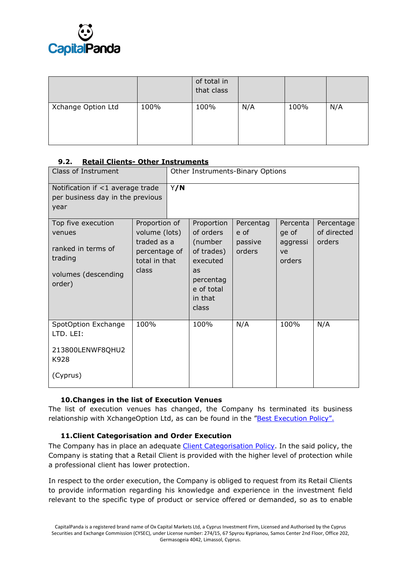

|                    |      | of total in<br>that class |     |      |     |
|--------------------|------|---------------------------|-----|------|-----|
| Xchange Option Ltd | 100% | 100%                      | N/A | 100% | N/A |

# <span id="page-6-0"></span>**9.2. Retail Clients- Other Instruments**

| Class of Instrument                                                                            |                                                                                          | Other Instruments-Binary Options |                                                                                                                   |                                        |                                               |                                     |
|------------------------------------------------------------------------------------------------|------------------------------------------------------------------------------------------|----------------------------------|-------------------------------------------------------------------------------------------------------------------|----------------------------------------|-----------------------------------------------|-------------------------------------|
| Notification if <1 average trade<br>per business day in the previous<br>year                   | Y/N                                                                                      |                                  |                                                                                                                   |                                        |                                               |                                     |
| Top five execution<br>venues<br>ranked in terms of<br>trading<br>volumes (descending<br>order) | Proportion of<br>volume (lots)<br>traded as a<br>percentage of<br>total in that<br>class |                                  | Proportion<br>of orders<br>(number<br>of trades)<br>executed<br>as<br>percentag<br>e of total<br>in that<br>class | Percentag<br>e of<br>passive<br>orders | Percenta<br>ge of<br>aggressi<br>ve<br>orders | Percentage<br>of directed<br>orders |
| SpotOption Exchange<br>LTD. LEI:<br>213800LENWF8QHU2<br>K928<br>(Cyprus)                       | 100%                                                                                     |                                  | 100%                                                                                                              | N/A                                    | 100%                                          | N/A                                 |

# <span id="page-6-1"></span>**10.Changes in the list of Execution Venues**

The list of execution venues has changed, the Company hs terminated its business relationship with XchangeOption Ltd, as can be found in the ["Best Execution Policy".](http://www.oxmarkets.com/wp-content/uploads/2018/02/Summary-Best-Execution-Policy-Jan.-2018.pdf)

# **11.Client Categorisation and Order Execution**

<span id="page-6-2"></span>The Company has in place an adequate [Client Categorisation Policy.](http://www.oxmarkets.com/wp-content/uploads/2018/01/Clients-Categorisation-Policy-Jan.-2018.pdf) In the said policy, the Company is stating that a Retail Client is provided with the higher level of protection while a professional client has lower protection.

In respect to the order execution, the Company is obliged to request from its Retail Clients to provide information regarding his knowledge and experience in the investment field relevant to the specific type of product or service offered or demanded, so as to enable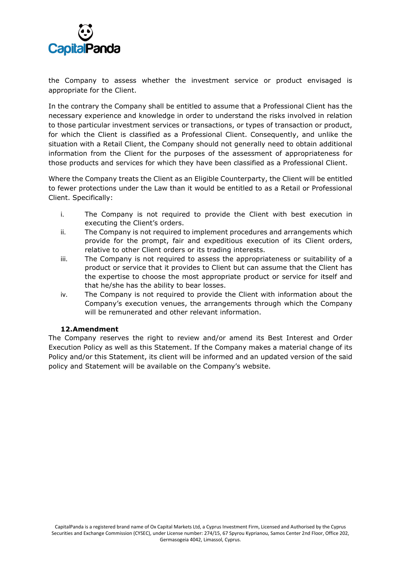

the Company to assess whether the investment service or product envisaged is appropriate for the Client.

In the contrary the Company shall be entitled to assume that a Professional Client has the necessary experience and knowledge in order to understand the risks involved in relation to those particular investment services or transactions, or types of transaction or product, for which the Client is classified as a Professional Client. Consequently, and unlike the situation with a Retail Client, the Company should not generally need to obtain additional information from the Client for the purposes of the assessment of appropriateness for those products and services for which they have been classified as a Professional Client.

Where the Company treats the Client as an Eligible Counterparty, the Client will be entitled to fewer protections under the Law than it would be entitled to as a Retail or Professional Client. Specifically:

- i. The Company is not required to provide the Client with best execution in executing the Client's orders.
- ii. The Company is not required to implement procedures and arrangements which provide for the prompt, fair and expeditious execution of its Client orders, relative to other Client orders or its trading interests.
- iii. The Company is not required to assess the appropriateness or suitability of a product or service that it provides to Client but can assume that the Client has the expertise to choose the most appropriate product or service for itself and that he/she has the ability to bear losses.
- iv. The Company is not required to provide the Client with information about the Company's execution venues, the arrangements through which the Company will be remunerated and other relevant information.

# **12.Amendment**

<span id="page-7-0"></span>The Company reserves the right to review and/or amend its Best Interest and Order Execution Policy as well as this Statement. If the Company makes a material change of its Policy and/or this Statement, its client will be informed and an updated version of the said policy and Statement will be available on the Company's website.